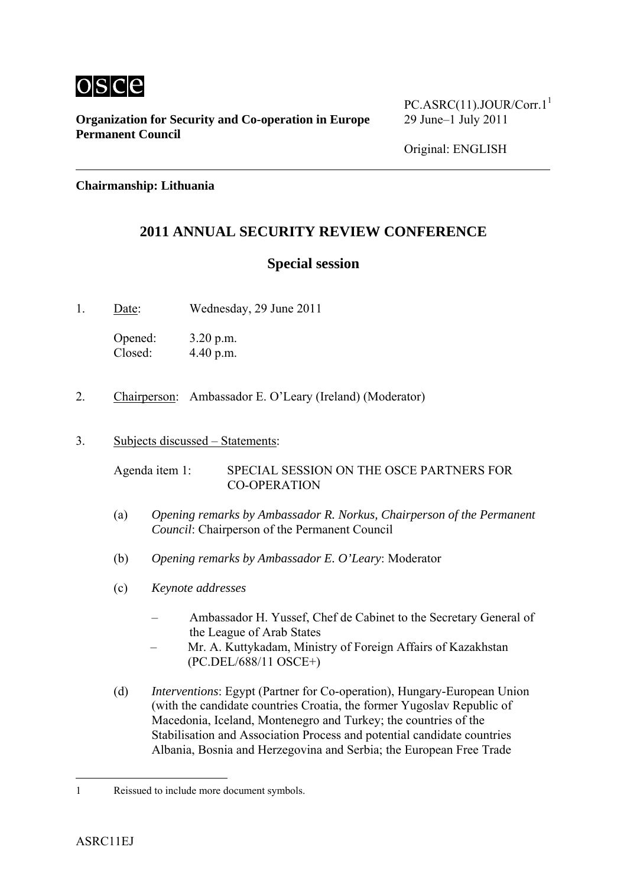

**Organization for Security and Co-operation in Europe** 29 June–1 July 2011 **Permanent Council**

 $PC.ASRC(11).JOUR/Corr.1<sup>1</sup>$ 

**Chairmanship: Lithuania** 

# **2011 ANNUAL SECURITY REVIEW CONFERENCE**

## **Special session**

1. Date: Wednesday, 29 June 2011

Opened: 3.20 p.m. Closed: 4.40 p.m.

- 2. Chairperson: Ambassador E. O'Leary (Ireland) (Moderator)
- 3. Subjects discussed Statements:

Agenda item 1: SPECIAL SESSION ON THE OSCE PARTNERS FOR CO-OPERATION

- (a) *Opening remarks by Ambassador R. Norkus, Chairperson of the Permanent Council*: Chairperson of the Permanent Council
- (b) *Opening remarks by Ambassador E. O'Leary*: Moderator
- (c) *Keynote addresses*
	- Ambassador H. Yussef, Chef de Cabinet to the Secretary General of the League of Arab States
	- Mr. A. Kuttykadam, Ministry of Foreign Affairs of Kazakhstan (PC.DEL/688/11 OSCE+)
- (d) *Interventions*: Egypt (Partner for Co-operation), Hungary-European Union (with the candidate countries Croatia, the former Yugoslav Republic of Macedonia, Iceland, Montenegro and Turkey; the countries of the Stabilisation and Association Process and potential candidate countries Albania, Bosnia and Herzegovina and Serbia; the European Free Trade

1

<sup>1</sup> Reissued to include more document symbols.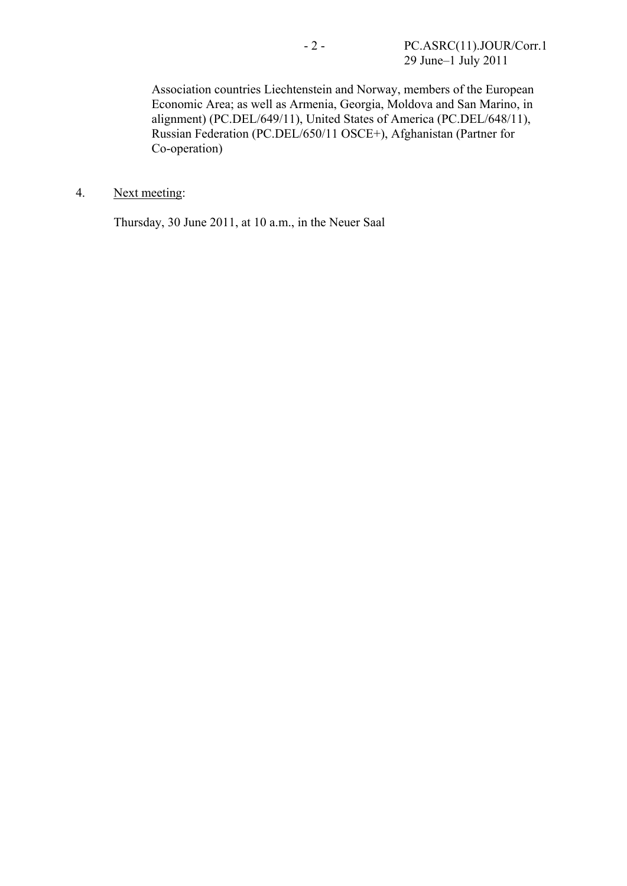Association countries Liechtenstein and Norway, members of the European Economic Area; as well as Armenia, Georgia, Moldova and San Marino, in alignment) (PC.DEL/649/11), United States of America (PC.DEL/648/11), Russian Federation (PC.DEL/650/11 OSCE+), Afghanistan (Partner for Co-operation)

4. Next meeting:

Thursday, 30 June 2011, at 10 a.m., in the Neuer Saal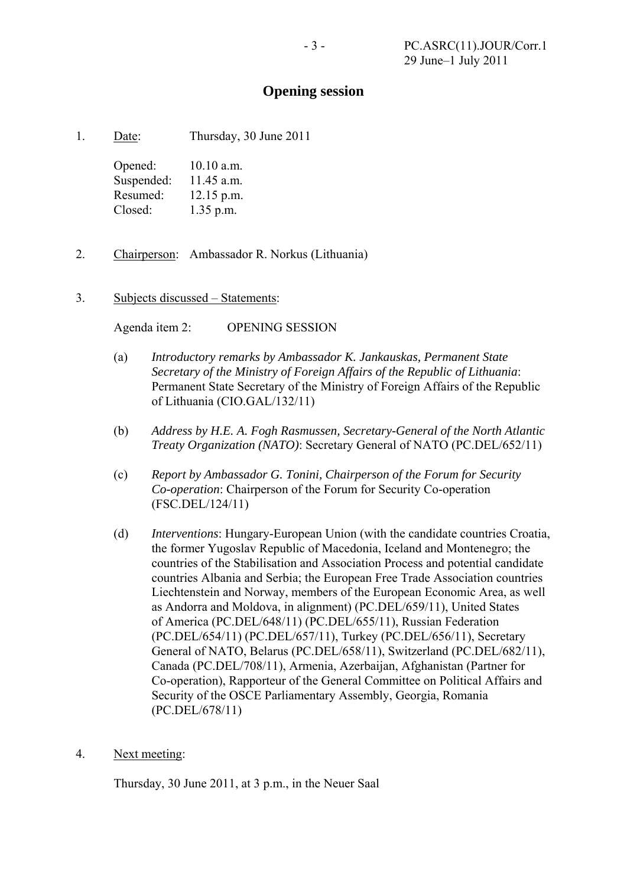### **Opening session**

1. Date: Thursday, 30 June 2011

Opened: 10.10 a.m. Suspended: 11.45 a.m. Resumed: 12.15 p.m. Closed: 1.35 p.m.

- 2. Chairperson: Ambassador R. Norkus (Lithuania)
- 3. Subjects discussed Statements:

Agenda item 2: OPENING SESSION

- (a) *Introductory remarks by Ambassador K. Jankauskas, Permanent State Secretary of the Ministry of Foreign Affairs of the Republic of Lithuania*: Permanent State Secretary of the Ministry of Foreign Affairs of the Republic of Lithuania (CIO.GAL/132/11)
- (b) *Address by H.E. A. Fogh Rasmussen, Secretary-General of the North Atlantic Treaty Organization (NATO)*: Secretary General of NATO (PC.DEL/652/11)
- (c) *Report by Ambassador G. Tonini, Chairperson of the Forum for Security Co-operation*: Chairperson of the Forum for Security Co-operation (FSC.DEL/124/11)
- (d) *Interventions*: Hungary-European Union (with the candidate countries Croatia, the former Yugoslav Republic of Macedonia, Iceland and Montenegro; the countries of the Stabilisation and Association Process and potential candidate countries Albania and Serbia; the European Free Trade Association countries Liechtenstein and Norway, members of the European Economic Area, as well as Andorra and Moldova, in alignment) (PC.DEL/659/11), United States of America (PC.DEL/648/11) (PC.DEL/655/11), Russian Federation (PC.DEL/654/11) (PC.DEL/657/11), Turkey (PC.DEL/656/11), Secretary General of NATO, Belarus (PC.DEL/658/11), Switzerland (PC.DEL/682/11), Canada (PC.DEL/708/11), Armenia, Azerbaijan, Afghanistan (Partner for Co-operation), Rapporteur of the General Committee on Political Affairs and Security of the OSCE Parliamentary Assembly, Georgia, Romania (PC.DEL/678/11)
- 4. Next meeting:

Thursday, 30 June 2011, at 3 p.m., in the Neuer Saal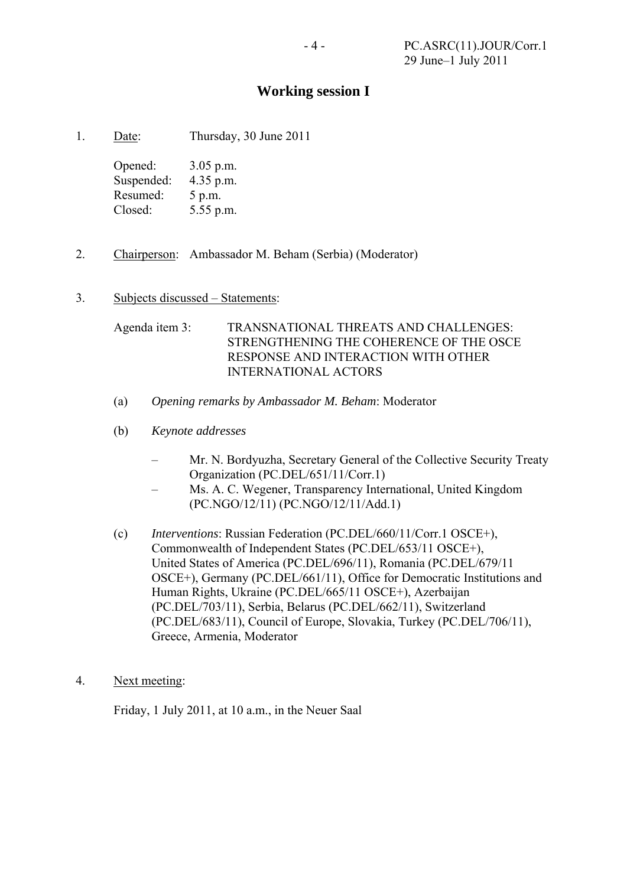## **Working session I**

1. Date: Thursday, 30 June 2011

Opened: 3.05 p.m. Suspended: 4.35 p.m. Resumed: 5 p.m. Closed: 5.55 p.m.

2. Chairperson: Ambassador M. Beham (Serbia) (Moderator)

#### 3. Subjects discussed – Statements:

Agenda item 3: TRANSNATIONAL THREATS AND CHALLENGES: STRENGTHENING THE COHERENCE OF THE OSCE RESPONSE AND INTERACTION WITH OTHER INTERNATIONAL ACTORS

- (a) *Opening remarks by Ambassador M. Beham*: Moderator
- (b) *Keynote addresses*
	- Mr. N. Bordyuzha, Secretary General of the Collective Security Treaty Organization (PC.DEL/651/11/Corr.1)
	- Ms. A. C. Wegener, Transparency International, United Kingdom (PC.NGO/12/11) (PC.NGO/12/11/Add.1)
- (c) *Interventions*: Russian Federation (PC.DEL/660/11/Corr.1 OSCE+), Commonwealth of Independent States (PC.DEL/653/11 OSCE+), United States of America (PC.DEL/696/11), Romania (PC.DEL/679/11 OSCE+), Germany (PC.DEL/661/11), Office for Democratic Institutions and Human Rights, Ukraine (PC.DEL/665/11 OSCE+), Azerbaijan (PC.DEL/703/11), Serbia, Belarus (PC.DEL/662/11), Switzerland (PC.DEL/683/11), Council of Europe, Slovakia, Turkey (PC.DEL/706/11), Greece, Armenia, Moderator
- 4. Next meeting:

Friday, 1 July 2011, at 10 a.m., in the Neuer Saal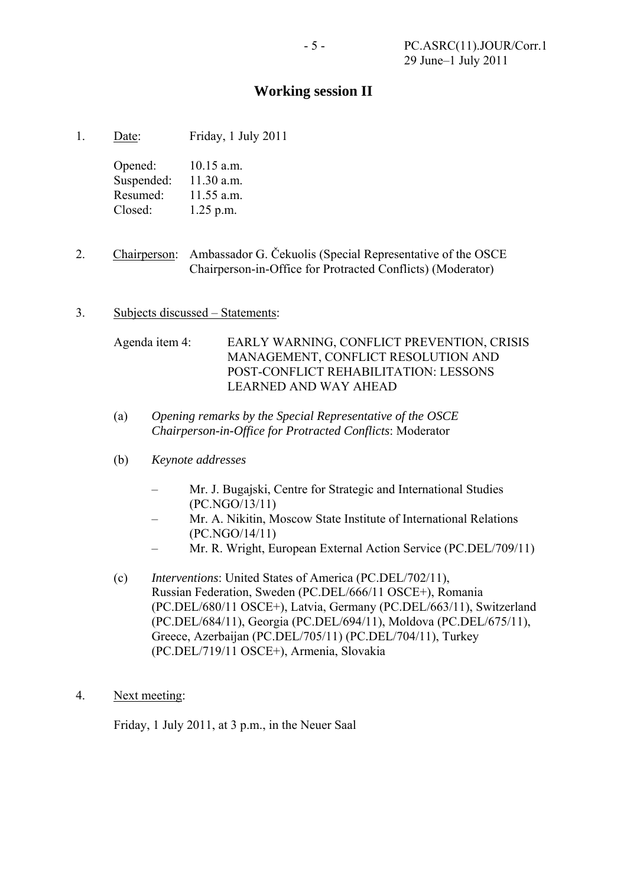# **Working session II**

1. Date: Friday, 1 July 2011

Opened: 10.15 a.m. Suspended: 11.30 a.m. Resumed: 11.55 a.m. Closed: 1.25 p.m.

- 2. Chairperson: Ambassador G. Čekuolis (Special Representative of the OSCE Chairperson-in-Office for Protracted Conflicts) (Moderator)
- 3. Subjects discussed Statements:

Agenda item 4: EARLY WARNING, CONFLICT PREVENTION, CRISIS MANAGEMENT, CONFLICT RESOLUTION AND POST-CONFLICT REHABILITATION: LESSONS LEARNED AND WAY AHEAD

- (a) *Opening remarks by the Special Representative of the OSCE Chairperson-in-Office for Protracted Conflicts*: Moderator
- (b) *Keynote addresses*
	- Mr. J. Bugajski, Centre for Strategic and International Studies (PC.NGO/13/11)
	- Mr. A. Nikitin, Moscow State Institute of International Relations (PC.NGO/14/11)
	- Mr. R. Wright, European External Action Service (PC.DEL/709/11)
- (c) *Interventions*: United States of America (PC.DEL/702/11), Russian Federation, Sweden (PC.DEL/666/11 OSCE+), Romania (PC.DEL/680/11 OSCE+), Latvia, Germany (PC.DEL/663/11), Switzerland (PC.DEL/684/11), Georgia (PC.DEL/694/11), Moldova (PC.DEL/675/11), Greece, Azerbaijan (PC.DEL/705/11) (PC.DEL/704/11), Turkey (PC.DEL/719/11 OSCE+), Armenia, Slovakia
- 4. Next meeting:

Friday, 1 July 2011, at 3 p.m., in the Neuer Saal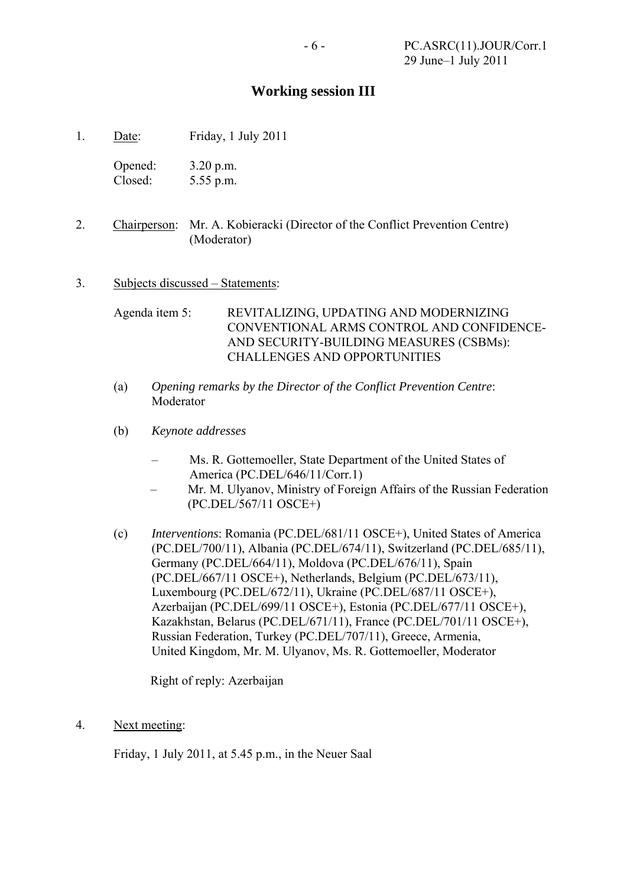## **Working session III**

1. Date: Friday, 1 July 2011

Opened: 3.20 p.m. Closed: 5.55 p.m.

- 2. Chairperson: Mr. A. Kobieracki (Director of the Conflict Prevention Centre) (Moderator)
- 3. Subjects discussed Statements:

Agenda item 5: REVITALIZING, UPDATING AND MODERNIZING CONVENTIONAL ARMS CONTROL AND CONFIDENCE-AND SECURITY-BUILDING MEASURES (CSBMs): CHALLENGES AND OPPORTUNITIES

- (a) *Opening remarks by the Director of the Conflict Prevention Centre*: Moderator
- (b) *Keynote addresses*
	- Ms. R. Gottemoeller, State Department of the United States of America (PC.DEL/646/11/Corr.1)
	- Mr. M. Ulyanov, Ministry of Foreign Affairs of the Russian Federation (PC.DEL/567/11 OSCE+)
- (c) *Interventions*: Romania (PC.DEL/681/11 OSCE+), United States of America (PC.DEL/700/11), Albania (PC.DEL/674/11), Switzerland (PC.DEL/685/11), Germany (PC.DEL/664/11), Moldova (PC.DEL/676/11), Spain (PC.DEL/667/11 OSCE+), Netherlands, Belgium (PC.DEL/673/11), Luxembourg (PC.DEL/672/11), Ukraine (PC.DEL/687/11 OSCE+), Azerbaijan (PC.DEL/699/11 OSCE+), Estonia (PC.DEL/677/11 OSCE+), Kazakhstan, Belarus (PC.DEL/671/11), France (PC.DEL/701/11 OSCE+), Russian Federation, Turkey (PC.DEL/707/11), Greece, Armenia, United Kingdom, Mr. M. Ulyanov, Ms. R. Gottemoeller, Moderator

Right of reply: Azerbaijan

4. Next meeting:

Friday, 1 July 2011, at 5.45 p.m., in the Neuer Saal